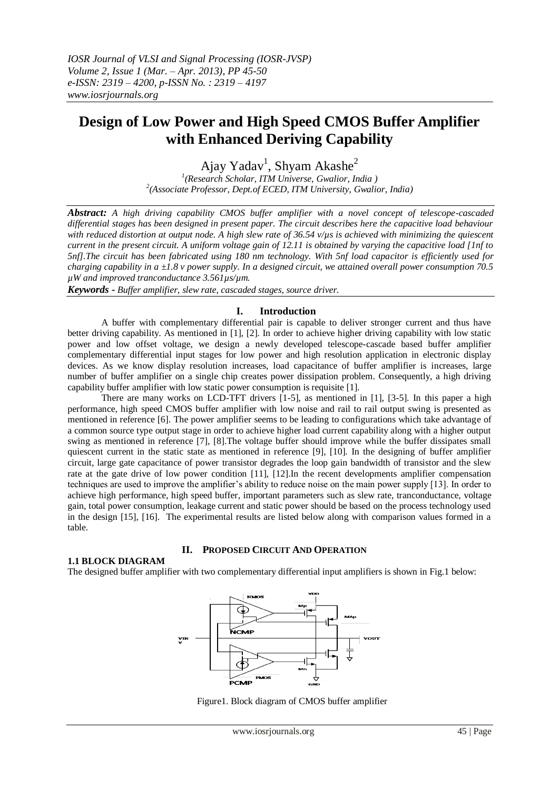# **Design of Low Power and High Speed CMOS Buffer Amplifier with Enhanced Deriving Capability**

Ajay Yadav<sup>1</sup>, Shyam Akashe<sup>2</sup>

*1 (Research Scholar, ITM Universe, Gwalior, India ) 2 (Associate Professor, Dept.of ECED, ITM University, Gwalior, India)*

*Abstract: A high driving capability CMOS buffer amplifier with a novel concept of telescope-cascaded differential stages has been designed in present paper. The circuit describes here the capacitive load behaviour with reduced distortion at output node. A high slew rate of 36.54 v/µs is achieved with minimizing the quiescent current in the present circuit. A uniform voltage gain of 12.11 is obtained by varying the capacitive load [1nf to 5nf].The circuit has been fabricated using 180 nm technology. With 5nf load capacitor is efficiently used for charging capability in a ±1.8 v power supply. In a designed circuit, we attained overall power consumption 70.5 µW and improved tranconductance 3.561µs/µm.*

*Keywords - Buffer amplifier, slew rate, cascaded stages, source driver.*

# **I. Introduction**

A buffer with complementary differential pair is capable to deliver stronger current and thus have better driving capability. As mentioned in [1], [2]. In order to achieve higher driving capability with low static power and low offset voltage, we design a newly developed telescope-cascade based buffer amplifier complementary differential input stages for low power and high resolution application in electronic display devices. As we know display resolution increases, load capacitance of buffer amplifier is increases, large number of buffer amplifier on a single chip creates power dissipation problem. Consequently, a high driving capability buffer amplifier with low static power consumption is requisite [1].

There are many works on LCD-TFT drivers [1-5], as mentioned in [1], [3-5]. In this paper a high performance, high speed CMOS buffer amplifier with low noise and rail to rail output swing is presented as mentioned in reference [6]. The power amplifier seems to be leading to configurations which take advantage of a common source type output stage in order to achieve higher load current capability along with a higher output swing as mentioned in reference [7], [8].The voltage buffer should improve while the buffer dissipates small quiescent current in the static state as mentioned in reference [9], [10]. In the designing of buffer amplifier circuit, large gate capacitance of power transistor degrades the loop gain bandwidth of transistor and the slew rate at the gate drive of low power condition [11], [12].In the recent developments amplifier compensation techniques are used to improve the amplifier's ability to reduce noise on the main power supply [13]. In order to achieve high performance, high speed buffer, important parameters such as slew rate, tranconductance, voltage gain, total power consumption, leakage current and static power should be based on the process technology used in the design [15], [16]. The experimental results are listed below along with comparison values formed in a table.

## **II. PROPOSED CIRCUIT AND OPERATION**

# **1.1 BLOCK DIAGRAM**

The designed buffer amplifier with two complementary differential input amplifiers is shown in Fig.1 below:



Figure1. Block diagram of CMOS buffer amplifier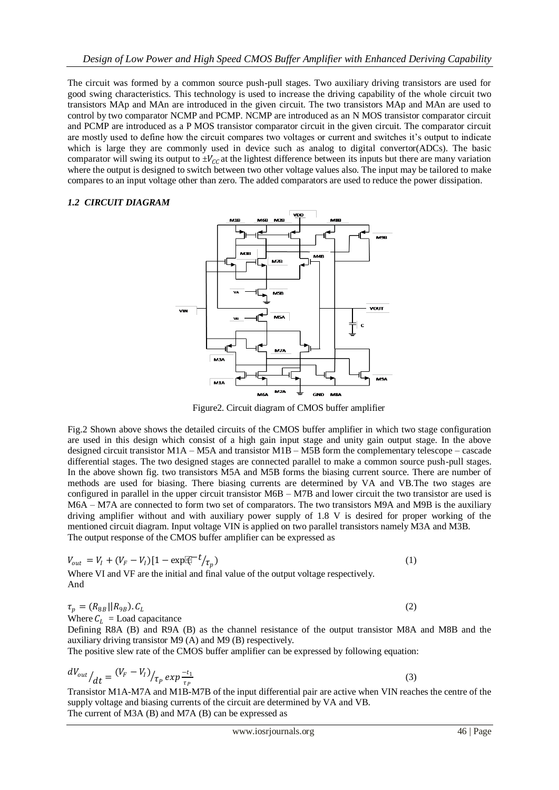The circuit was formed by a common source push-pull stages. Two auxiliary driving transistors are used for good swing characteristics. This technology is used to increase the driving capability of the whole circuit two transistors MAp and MAn are introduced in the given circuit. The two transistors MAp and MAn are used to control by two comparator NCMP and PCMP. NCMP are introduced as an N MOS transistor comparator circuit and PCMP are introduced as a P MOS transistor comparator circuit in the given circuit. The comparator circuit are mostly used to define how the circuit compares two voltages or current and switches it's output to indicate which is large they are commonly used in device such as analog to digital convertor(ADCs). The basic comparator will swing its output to  $\pm V_{CC}$  at the lightest difference between its inputs but there are many variation where the output is designed to switch between two other voltage values also. The input may be tailored to make compares to an input voltage other than zero. The added comparators are used to reduce the power dissipation.

# *1.2 CIRCUIT DIAGRAM*



Figure2. Circuit diagram of CMOS buffer amplifier

Fig.2 Shown above shows the detailed circuits of the CMOS buffer amplifier in which two stage configuration are used in this design which consist of a high gain input stage and unity gain output stage. In the above designed circuit transistor M1A – M5A and transistor M1B – M5B form the complementary telescope – cascade differential stages. The two designed stages are connected parallel to make a common source push-pull stages. In the above shown fig. two transistors M5A and M5B forms the biasing current source. There are number of methods are used for biasing. There biasing currents are determined by VA and VB.The two stages are configured in parallel in the upper circuit transistor M6B – M7B and lower circuit the two transistor are used is M6A – M7A are connected to form two set of comparators. The two transistors M9A and M9B is the auxiliary driving amplifier without and with auxiliary power supply of 1.8 V is desired for proper working of the mentioned circuit diagram. Input voltage VIN is applied on two parallel transistors namely M3A and M3B. The output response of the CMOS buffer amplifier can be expressed as

$$
V_{out} = V_I + (V_F - V_I)[1 - \exp[\hat{q}]^{-t}/\tau_p)
$$
  
Where VI and VF are the initial and final value of the output voltage respectively.  
And

$$
\tau_p = (R_{8B}||R_{9B}).C_L \tag{2}
$$

Where  $C_L$  = Load capacitance

Defining R8A (B) and R9A (B) as the channel resistance of the output transistor M8A and M8B and the auxiliary driving transistor M9 (A) and M9 (B) respectively.

The positive slew rate of the CMOS buffer amplifier can be expressed by following equation:

$$
\frac{dV_{out}}{dt} = \frac{(V_F - V_I)}{t_P} \exp{\frac{-t_1}{t_P}}
$$
\n(3)

Transistor M1A-M7A and M1B-M7B of the input differential pair are active when VIN reaches the centre of the supply voltage and biasing currents of the circuit are determined by VA and VB. The current of M3A (B) and M7A (B) can be expressed as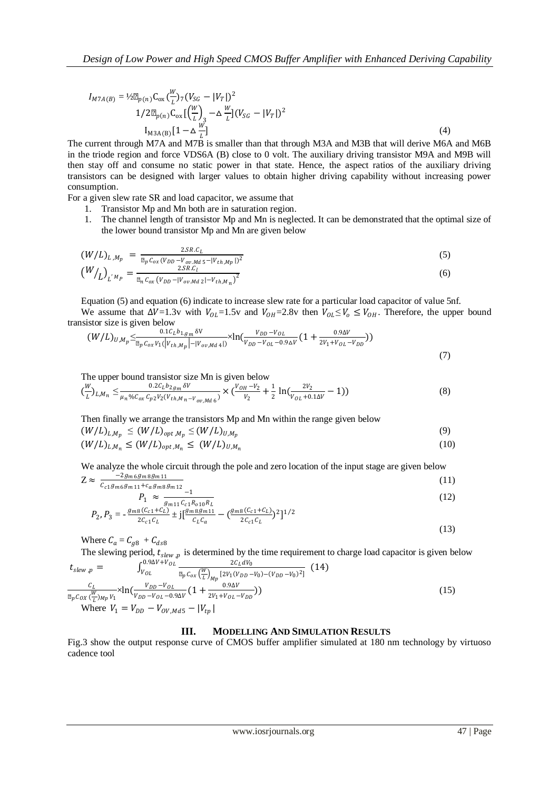$$
I_{M7A(B)} = \frac{1}{2} \mu_{p(n)} C_{ox} \left(\frac{W}{L}\right)_7 (V_{SG} - |V_T|)^2
$$
  

$$
1/2 \mu_{p(n)} C_{ox} \left[\left(\frac{W}{L}\right)_3 - \Delta \frac{W}{L}\right] (V_{SG} - |V_T|)^2
$$
  

$$
I_{M3A(B)} [1 - \Delta \frac{W}{L}]
$$
 (4)

The current through M7A and M7B is smaller than that through M3A and M3B that will derive M6A and M6B in the triode region and force VDS6A (B) close to 0 volt. The auxiliary driving transistor M9A and M9B will then stay off and consume no static power in that state. Hence, the aspect ratios of the auxiliary driving transistors can be designed with larger values to obtain higher driving capability without increasing power consumption.

For a given slew rate SR and load capacitor, we assume that

- 1. Transistor Mp and Mn both are in saturation region.
- 1. The channel length of transistor Mp and Mn is neglected. It can be demonstrated that the optimal size of the lower bound transistor Mp and Mn are given below

$$
(W/L)_{L,M_p} = \frac{2SR.C_L}{\mu_p C_{ox} (V_{DD} - V_{ov,Md5} - |V_{th,Mp}|)^2}
$$
  
\n
$$
(W/L)_{L'M_p} = \frac{2SR.C_L}{\mu_n C_{ox} (V_{DD} - |V_{ov,Md2}| - V_{th,M_n})^2}
$$
  
\n(6)

Equation (5) and equation (6) indicate to increase slew rate for a particular load capacitor of value 5nf. We assume that  $\Delta V=1.3v$  with  $V_{OL}=1.5v$  and  $V_{OH}=2.8v$  then  $V_{OL}\leq V_{OL}\leq V_{OH}$ . Therefore, the upper bound transistor size is given below

$$
(W/L)_{U,M_p} \leq \frac{0.1 C_L b_{1,g_m} \delta V}{\mu_p C_{ox} V_1 (|V_{th,M_p}| - |V_{ov,Md}|)} \times \ln(\frac{V_{DD} - V_{OL}}{V_{DD} - V_{OL} - 0.9 \Delta V} (1 + \frac{0.9 \Delta V}{2 V_1 + V_{OL} - V_{DD}}))
$$
\n(7)

The upper bound transistor size Mn is given below

$$
\left(\frac{W}{L}\right)_{L,M_n} \leq \frac{0.2c_Lb_{2g_m}\delta V}{\mu_n\%c_{ox}c_{p2}v_2(v_{th,M_n-v_{ov,Md6}})} \times \left(\frac{V_{OH}-V_2}{v_2} + \frac{1}{2}\ln\left(\frac{2v_2}{v_{OL}+0.1\Delta V} - 1\right)\right) \tag{8}
$$

Then finally we arrange the transistors Mp and Mn within the range given below

$$
(W/L)_{L,M_p} \le (W/L)_{opt,M_p} \le (W/L)_{U,M_p} \tag{9}
$$

$$
(W/L)_{L,M_n} \le (W/L)_{opt,M_n} \le (W/L)_{U,M_n}
$$
\n(10)

We analyze the whole circuit through the pole and zero location of the input stage are given below  $Z \approx$  $-2g_{m6}g_{m8}g_{m11}$  $(11)$ 

$$
\approx \frac{C_{c1}g_{m6}g_{m11} + c_a g_m g_{m12}}{G_{c1}g_{m6}g_{m12}} - 1
$$

$$
P_1 \approx \frac{-1}{g_{m11}c_{c1}R_{o10}R_L}
$$
  
\n
$$
P_2, P_3 = -\frac{g_{m8}(C_{c1} + C_L)}{2C_{o1}C_L} \pm j[\frac{g_{m8}g_{m11}}{C_{o1}C_{o}} - (\frac{g_{m8}(C_{c1} + C_L)}{2C_{o1}C_L})^2]^{1/2}
$$
\n(12)

$$
2c_{c1}c_L \t -31 \t c_L c_a \t 2c_{c1}c_L \t 31 \t (13)
$$

Where  $C_a = C_{g8} + C_{d58}$ 

The slewing period,  $t_{\text{slow},p}$  is determined by the time requirement to charge load capacitor is given below  $t_{\text{slow}, p} = \int_{V_{\text{OL}}}^{0.9\Delta V + V_{\text{OL}}} \frac{2C_L dV_0}{\sqrt{2C_L dV_0}}$  $0.9\Delta V + V_{OL}$  $\frac{2c_L u v_0}{v_{OL}} \frac{2c_L u v_0}{\mu_n c_{av} (\frac{W}{L})}$  [2 $v_1 (v_{DD} - v_0) - (v_{DD} - v_0)^2$ ] (14)

$$
v_{slew, p} = \frac{U_{V_{OL}}}{\mu_p c_{ox} \left(\frac{W}{L}\right)_{Mp} [2V_1(V_{DD} - V_0) - (V_{DD} - V_0)^2]} (14)
$$
  
\n
$$
\frac{C_L}{\mu_p c_{ox} \left(\frac{W}{L}\right)_{Mp} V_1} \times \ln\left(\frac{V_{DD} - V_{OL}}{V_{DD} - V_{OL} - 0.9\Delta V} (1 + \frac{0.9\Delta V}{2V_1 + V_{OL} - V_{DD}})\right)
$$
  
\nWhere  $V_1 = V_{DD} - V_{OV, Md5} - |V_{tp}|$  (15)

#### **III. MODELLING AND SIMULATION RESULTS**

Fig.3 show the output response curve of CMOS buffer amplifier simulated at 180 nm technology by virtuoso cadence tool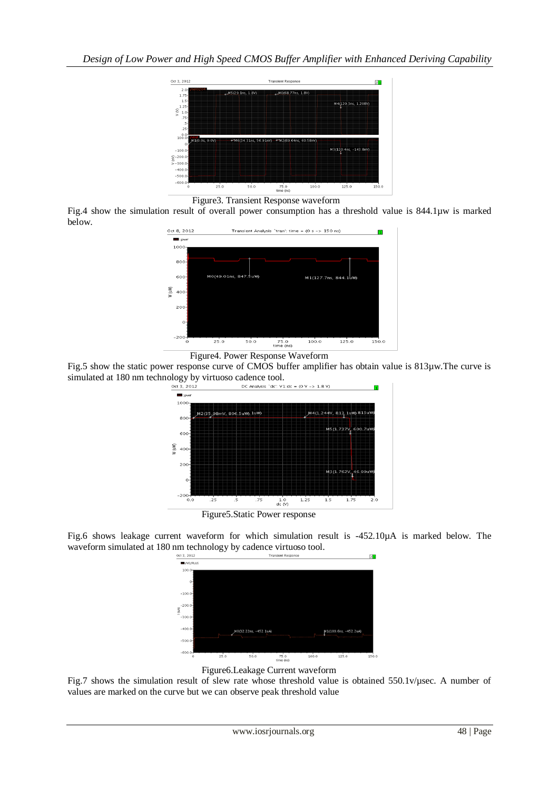

Figure3. Transient Response waveform

Fig.4 show the simulation result of overall power consumption has a threshold value is 844.1µw is marked below.



Figure4. Power Response Waveform

Fig.5 show the static power response curve of CMOS buffer amplifier has obtain value is 813µw.The curve is simulated at 180 nm technology by virtuoso cadence tool.



Fig.6 shows leakage current waveform for which simulation result is -452.10µA is marked below. The waveform simulated at 180 nm technology by cadence virtuoso tool.



Figure6.Leakage Current waveform

Fig.7 shows the simulation result of slew rate whose threshold value is obtained 550.1v/µsec. A number of values are marked on the curve but we can observe peak threshold value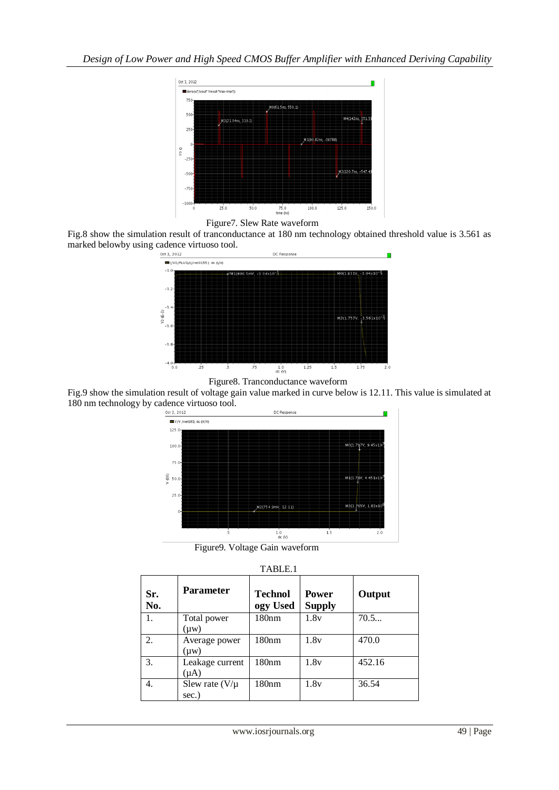



Fig.8 show the simulation result of tranconductance at 180 nm technology obtained threshold value is 3.561 as marked belowby using cadence virtuoso tool.





Fig.9 show the simulation result of voltage gain value marked in curve below is 12.11. This value is simulated at 180 nm technology by cadence virtuoso tool.



Figure9. Voltage Gain waveform

| TABLE.1    |                              |                            |                               |        |  |  |  |
|------------|------------------------------|----------------------------|-------------------------------|--------|--|--|--|
| Sr.<br>No. | <b>Parameter</b>             | <b>Technol</b><br>ogy Used | <b>Power</b><br><b>Supply</b> | Output |  |  |  |
| 1.         | Total power<br>$(\mu w)$     | 180 <sub>nm</sub>          | 1.8v                          | 70.5   |  |  |  |
| 2.         | Average power<br>$(\mu w)$   | 180nm                      | 1.8v                          | 470.0  |  |  |  |
| 3.         | Leakage current<br>$(\mu A)$ | 180nm                      | 1.8v                          | 452.16 |  |  |  |
| 4.         | Slew rate $(V/\mu)$<br>sec.) | 180nm                      | 1.8v                          | 36.54  |  |  |  |